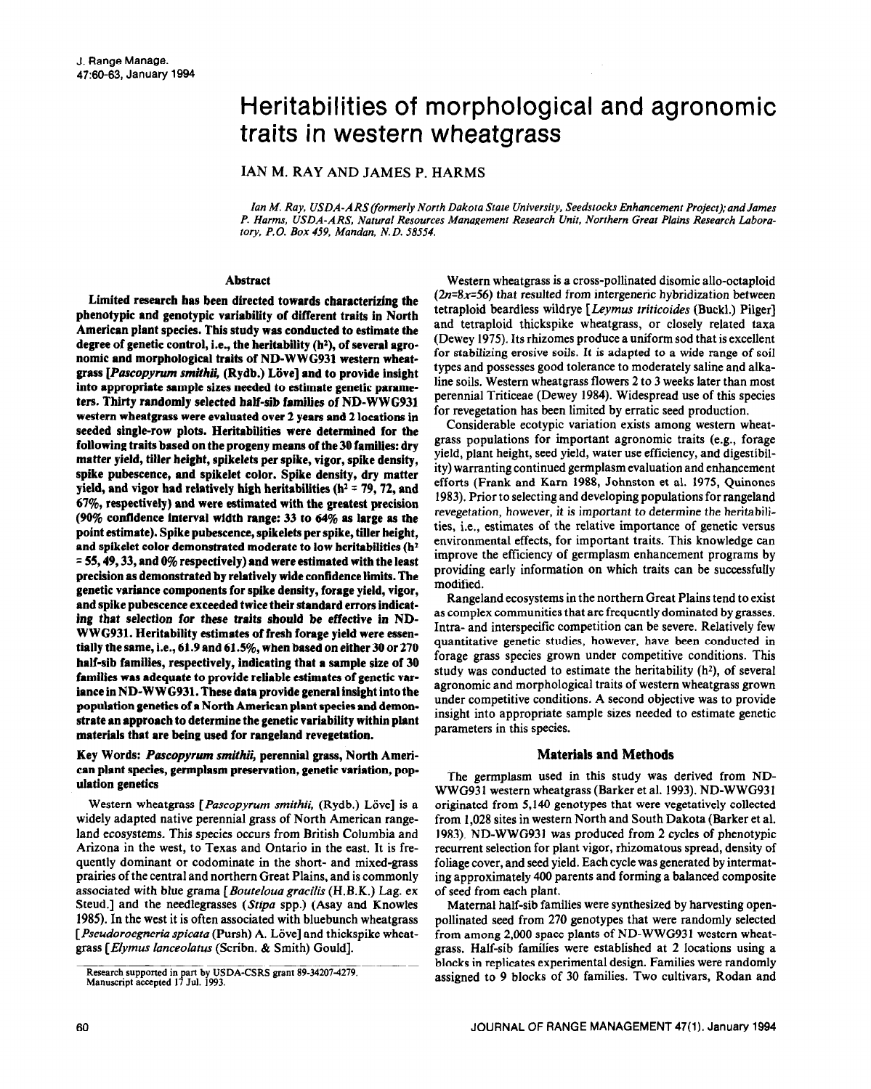# Heritabilities of morphological and agronomic traits in western wheatgrass

IAN M. RAY AND JAMES P. HARMS

*Ian M. Ray, USDA-ARS(formerly North Dakota State University. Seedstocks Enhancement Project);and James P. Harms, USDA-ARS, Natural Resources Management Research Unit, Northern Great Plains Research Laboratory, P. 0. Box 459, Mandan, N. D. 58554.* 

## **Abstract**

**Limited research has been directed towards characterizing the phenotypic and genotypic variability of different traits in North American plant species. This study was conducted to estimate the**  degree of genetic control, i.e., the heritability (h<sup>2</sup>), of several agro**nomic and morphological traits of ND-WWG931 western wheatgrass** *[Puscopyrum smithii,* **(Rydb.) Liive] and to provide insight into appropriate sample sizes needed to estimate genetic parameters. Thirty randomly selected half-sib families of ND-WWG931 western wheatgrass were evaluated over 2 years and 2 locations in**  seeded single-row plots. Heritabilities were determined for the **following traits based on the progeny means of the 30 families: dry matter yield, tiller height, spikelets per spike, vigor, spike density, spike pubescence, and spikelet color. Spike density, dry matter**  yield, and vigor had relatively high heritabilities ( $h^2$  = 79, 72, and **67%, respectively) and were estimated with the greatest precision (90% confidence interval width range: 33 to 64% as large as the point estimate). Spike pubescence, spikelets per spike, tiller height, and spikelet color demonstrated moderate to low heritabilities (hz = 55,49,33, and 0% respectively) and were estimated with the least precision as demonstrated by relatively wide confidence limits. The genetic variance components for spike density, forage yield, vigor, and spike pubescence exceeded twice their standard errors indicating that selection for these traits should be effective in ND-WWG931. Heritability estimates of fresh forage yield were essentially the same, i.e., 61.9 and 61.5%, when based on either 30 or 270 half-sib families, respectively, indicating that a sample size of 30 families was adequate to provide reliable estimates of genetic variance in ND-WWG931. These data provide general insight into the population genetics of a North American plant species and demonstrate an approach to determine the genetic variability within plant materials that are being used for rangeland revegetation.** 

# **Key Words:** *Pascopyrum smithii,* **perennial grass, North Amerlcan plant species, germplasm preservation, genetic variation, population genetics**

Western wheatgrass [*Pascopyrum smithii*, (Rydb.) Löve] is a widely adapted native perennial grass of North American rangeland ecosystems. This species occurs from British Columbia and Arizona in the west, to Texas and Ontario in the east. It is frequently dominant or codominate in the short- and mixed-grass prairies of the central and northern Great Plains, and is commonly associated with blue grama *[Bouteloua gracilis* (H.B.K.) Lag. ex Steud.] and the needlegrasses *(Stipu* spp.) (Asay and Knowles 1985). In the west it is often associated with bluebunch wheatgrass [ Pseudoroegneria spicata (Pursh) A. Löve] and thickspike wheatgrass [Elymus lanceolatus (Scribn. & Smith) Gould].

Western wheatgrass is a cross-pollinated disomic allo-octaploid *(2n=8x=56)* that resulted from intergeneric hybridization between tetraploid beardless wildrye [ *Leymus triticoides* (Buckl.) Pilger] and tetraploid thickspike wheatgrass, or closely related taxa (Dewey 1975). Its rhizomes produce a uniform sod that is excellent for stabilizing erosive soils. It is adapted to a wide range of soil types and possesses good tolerance to moderately saline and alkaline soils. Western wheatgrass flowers 2 to 3 weeks later than most perennial Triticeae (Dewey 1984). Widespread use of this species for revegetation has been limited by erratic seed production.

Considerable ecotypic variation exists among western wheatgrass populations for important agronomic traits (e.g., forage yield, plant height, seed yield, water use efficiency, and digestibility) warranting continued germplasm evaluation and enhancement efforts (Frank and Kam 1988, Johnston et al. 1975, Quinones 1983). Prior to selecting and developing populations for rangeland revegetation, however, it is important to determine the heritabilities, i.e., estimates of the relative importance of genetic versus environmental effects, for important traits. This knowledge can improve the efficiency of germplasm enhancement programs by providing early information on which traits can be successfully modified.

Rangeland ecosystems in the northern Great Plains tend to exist as complex communities that are frequently dominated by grasses. Intra- and interspecific competition can be severe. Relatively few quantitative genetic studies, however, have been conducted in forage grass species grown under competitive conditions. This study was conducted to estimate the heritability  $(h^2)$ , of several agronomic and morphological traits of western wheatgrass grown under competitive conditions. A second objective was to provide insight into appropriate sample sizes needed to estimate genetic parameters in this species.

# **Materials and Methods**

The germplasm used in this study was derived from ND-WWG931 western wheatgrass (Barker et al. 1993). ND-WWG931 originated from 5,140 genotypes that were vegetatively collected from 1,028 sites in western North and South Dakota (Barker et al. 1983). ND-WWG931 was produced from 2 cycles of phenotypic recurrent selection for plant vigor, rhizomatous spread, density of foliage cover, and seed yield. Each cycle was generated by intermating approximately 400 parents and forming a balanced composite of seed from each plant.

Maternal half-sib families were synthesized by harvesting openpollinated seed from 270 genotypes that were randomly selected from among 2,000 space plants of ND-WWG931 western wheatgrass. Half-sib families were established at 2 locations using a blocks in replicates experimental design. Families were randomly assigned to 9 blocks of 30 families. Two cultivars, Rodan and

Research supported in part by USDA-CSRS grant 89-34207-427!<br>Manuscript accepted 17 Jul. 1993.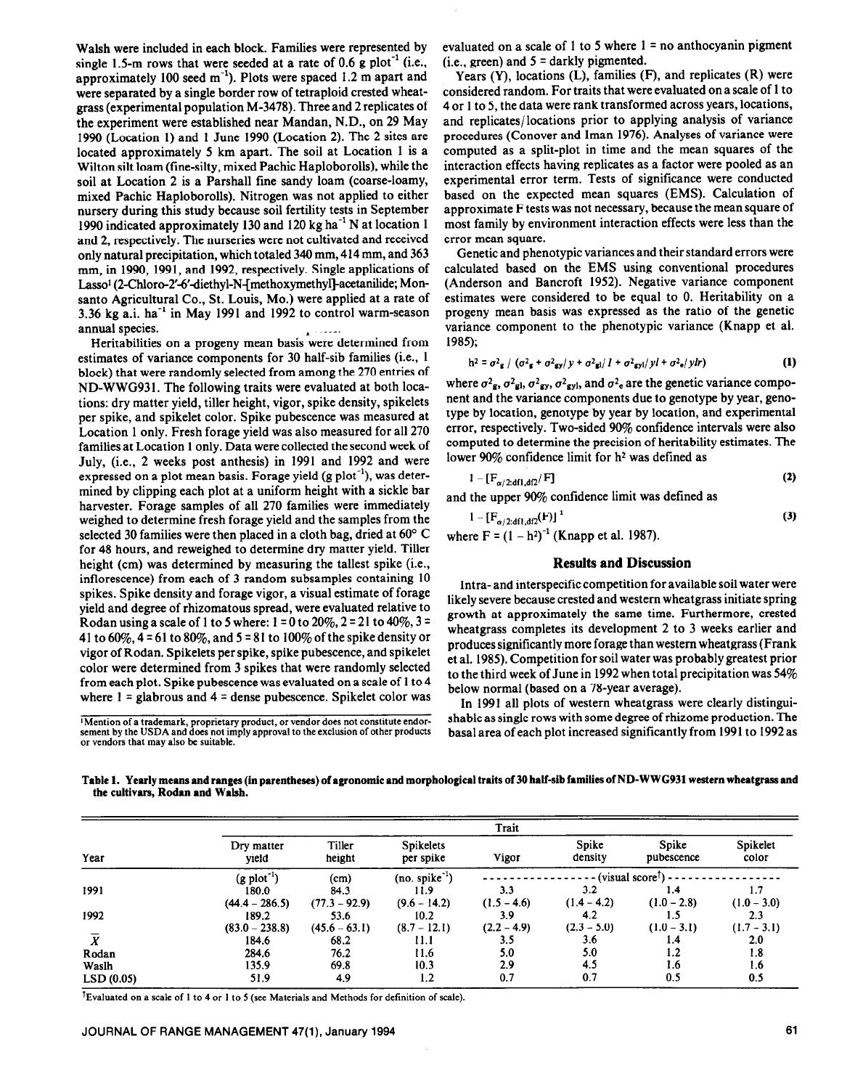Walsh were included in each block. Families were represented by single 1.5-m rows that were seeded at a rate of 0.6 g plot<sup>-1</sup> (i.e., approximately 100 seed  $m^{-1}$ ). Plots were spaced 1.2 m apart and were separated by a single border row of tetraploid crested wheatgrass (experimental population M-3478). Three and 2 replicates of the experiment were established near Mandan, N.D., on 29 May 1990 (Location 1) and 1 June 1990 (Location 2). The 2 sites are located approximately 5 km apart. The soil at Location 1 is a Wilton silt loam (fine-silty, mixed Pachic Haploborolls), while the soil at Location 2 is a Parshall fine sandy loam (coarse-loamy, mixed Pachic Haploborolls). Nitrogen was not applied to either nursery during this study because soil fertility tests in September 1990 indicated approximately 130 and 120 kg ha-' N at location 1 and 2, respectively. The nurseries were not cultivated and received only natural precipitation, which totaled 340 mm, 414 mm, and 363 mm, in 1990, 1991, and 1992, respectively. Single applications of Lasso<sup>1</sup> (2-Chloro-2'-6'-diethyl-N-[methoxymethyl]-acetanilide; Monsanto Agricultural Co., St. Louis, MO.) were applied at a rate of 3.36 kg a.i.  $ha^{-1}$  in May 1991 and 1992 to control warm-season annual species.

Heritabilities on a progeny mean basis were determined from estimates of variance components for 30 half-sib families (i.e., 1 block) that were randomly selected from among the 270 entries of ND-WWG931. The following traits were evaluated at both locations: dry matter yield, tiller height, vigor, spike density, spikelets per spike, and spikelet color. Spike pubescence was measured at Location 1 only. Fresh forage yield was also measured for all 270 families at Location 1 only. Data were collected the second week of July, (i.e., 2 weeks post anthesis) in 1991 and 1992 and were expressed on a plot mean basis. Forage yield  $(g \text{ plot}^{-1})$ , was determined by clipping each plot at a uniform height with a sickle bar harvester. Forage samples of all 270 families were immediately weighed to determine fresh forage yield and the samples from the selected 30 families were then placed in a cloth bag, dried at 60' C for 48 hours, and reweighed to determine dry matter yield. Tiller height (cm) was determined by measuring the tallest spike (i.e., inflorescence) from each of 3 random subsamples containing 10 spikes. Spike density and forage vigor, a visual estimate of forage yield and degree of rhizomatous spread, were evaluated relative to Rodan using a scale of 1 to 5 where:  $1 = 0$  to 20%,  $2 = 21$  to 40%,  $3 = 1$ 41 to 60%,  $4 = 61$  to 80%, and  $5 = 81$  to 100% of the spike density or vigor of Rodan. Spikelets per spike, spike pubescence, and spikelet color were determined from 3 spikes that were randomly selected from each plot. Spike pubescence was evaluated on a scale of 1 to 4 where  $1 =$  glabrous and  $4 =$  dense pubescence. Spikelet color was

**'Mention of a trademark, proprietary product, or vendor does not constitute endor-sement by the USDA and does not imply approval to the exclusion of other products or vendors that may also be suitable.** 

evaluated on a scale of 1 to 5 where  $1 = no$  anthocyanin pigment  $(i.e., green)$  and  $5 =$  darkly pigmented.

Years  $(Y)$ , locations  $(L)$ , families  $(F)$ , and replicates  $(R)$  were considered random. For traits that were evaluated on a scale of 1 to 4 or 1 to 5, the data were rank transformed across years, locations, and replicates/locations prior to applying analysis of variance procedures (Conover and Iman 1976). Analyses of variance were computed as a split-plot in time and the mean squares of the interaction effects having replicates as a factor were pooled as an experimental error term. Tests of significance were conducted based on the expected mean squares (EMS). Calculation of approximate F tests was not necessary, because the mean square of most family by environment interaction effects were less than the error mean square.

Genetic and phenotypic variances and their standard errors were calculated based on the EMS using conventional procedures (Anderson and Bancroft 1952). Negative variance component estimates were considered to be equal to 0. Heritability on a progeny mean basis was expressed as the ratio of the genetic variance component to the phenotypic variance (Knapp et al. 1985);

$$
h^2 = \sigma^2 g / (\sigma^2 g + \sigma^2 g y / y + \sigma^2 g) / 1 + \sigma^2 g y / y l + \sigma^2 e / y l r)
$$
 (1)

where  $\sigma^2$ <sub>g</sub>,  $\sigma^2$ <sub>gl</sub>,  $\sigma^2$ <sub>gy</sub>,  $\sigma^2$ <sub>gy</sub>, and  $\sigma^2$ <sub>e</sub> are the genetic variance component and the variance components due to genotype by year, genotype by location, genotype by year by location, and experimental error, respectively. Two-sided 90% confidence intervals were also computed to determine the precision of heritability estimates. The lower  $90\%$  confidence limit for  $h<sup>2</sup>$  was defined as

$$
1 - \left[ \mathbf{F}_{\alpha/2: \mathbf{df} \mathbf{1}, \mathbf{df} }^{\dagger} \right] \tag{2}
$$

and the upper 90% confidence limit was defined as

$$
1 - [F_{\alpha/2: df1, df2}(F)]^T
$$
  
where F = (1 - h<sup>2</sup>)<sup>-1</sup> (Knapp et al. 1987).

## **Results and Discussion**

Intra- and interspecific competition for available soil water were likely severe because crested and western wheatgrass initiate spring growth at approximately the same time. Furthermore, crested wheatgrass completes its development 2 to 3 weeks earlier and produces significantly more forage than western wheatgrass (Frank et al. 1985). Competition for soil water was probably greatest prior to the third week of June in 1992 when total precipitation was  $54\%$ below normal (based on a 78-year average).

In 1991 all plots of western wheatgrass were clearly distinguishable as single rows with some degree of rhizome production. The basal area of each plot increased significantly from 1991 to 1992 as

**Table 1. Yearly means and ranges (in parentheses) of agronomic and morphological traits of 30 half-sib families of** ND-WWG931 western wheatgrass and the cultivars, Rodan and Walsh.

| Year      | Trait                   |                  |                               |                                                    |                  |                     |                   |  |
|-----------|-------------------------|------------------|-------------------------------|----------------------------------------------------|------------------|---------------------|-------------------|--|
|           | Dry matter<br>vield     | Tiller<br>height | <b>Spikelets</b><br>per spike | Vigor                                              | Spike<br>density | Spike<br>pubescence | Spikelet<br>color |  |
|           | $(g \text{ plot}^{-1})$ | (cm)             | $(no. spike^{-1})$            | (visual score <sup><math>\uparrow</math></sup> ) - |                  |                     |                   |  |
| 1991      | 180.0                   | 84.3             | 11.9                          | 3.3                                                | 3.2              | 1.4                 | 1.7               |  |
|           | $(44.4 - 286.5)$        | $(77.3 - 92.9)$  | $(9.6 - 14.2)$                | $(1.5 - 4.6)$                                      | $(1.4 - 4.2)$    | $(1.0 - 2.8)$       | $(1.0 - 3.0)$     |  |
| 1992      | 189.2                   | 53.6             | 10.2                          | 3.9                                                | 4.2              | 1.5                 | 2.3               |  |
|           | $(83.0 - 238.8)$        | $(45.6 - 63.1)$  | $(8.7 - 12.1)$                | $(2.2 - 4.9)$                                      | $(2.3 - 5.0)$    | $(1.0 - 3.1)$       | $(1.7 - 3.1)$     |  |
|           | 184.6                   | 68.2             | 11.1                          | 3.5                                                | 3.6              | 1.4                 | 2.0               |  |
| Rodan     | 284.6                   | 76.2             | 11.6                          | 5.0                                                | 5.0              | 1.2                 | 1.8               |  |
| Waslh     | 135.9                   | 69.8             | 10.3                          | 2.9                                                | 4.5              | 1.6                 | 1.6               |  |
| LSD(0.05) | 51.9                    | 4.9              | 1.2                           | 0.7                                                | 0.7              | 0.5                 | 0.5               |  |

**TEvaluated on a scale of 1 to 4 or 1 to 5 (see Materials and Methods for definition of scale).**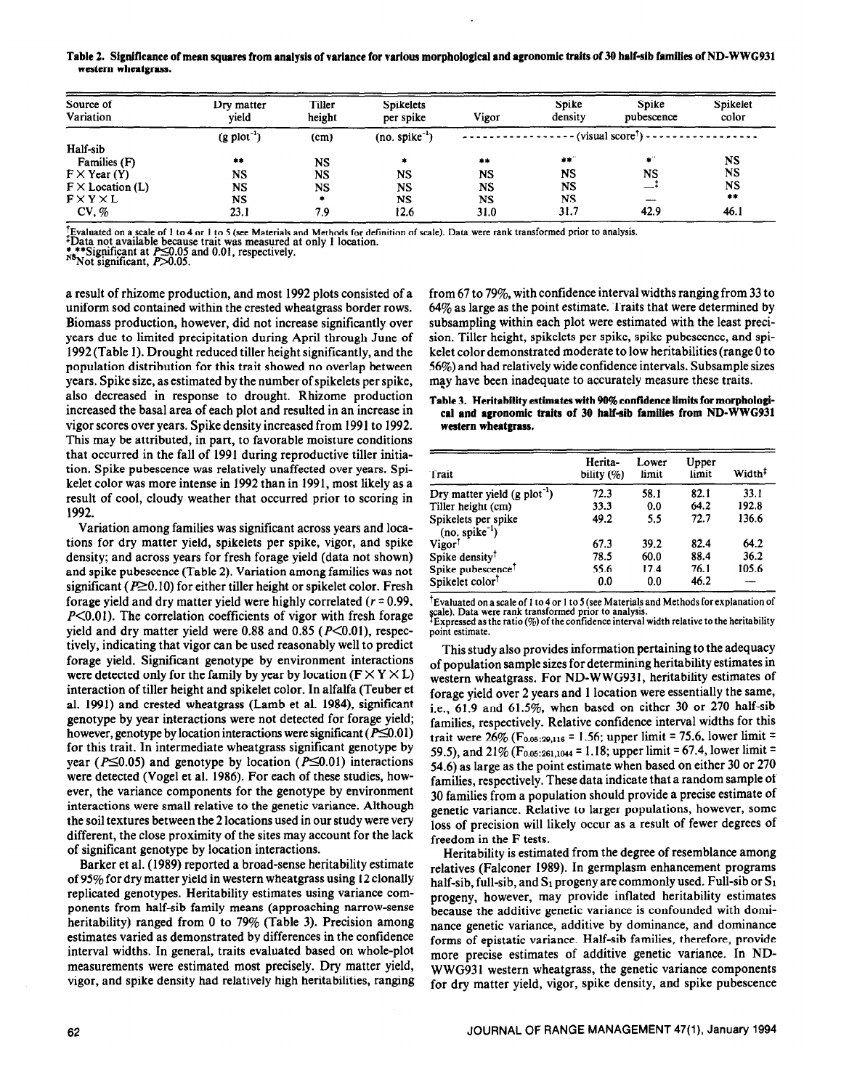### Table 2. Significance of mean squares from analysis of variance for various morphological and agronomic traits of 30 half-sib families of ND-WWG931 **western wheatgrass.**

| Source of<br>Variation    | Dry matter<br>vield     | Tiller<br>height | <b>Spikelets</b><br>per spike | Vigor     | Spike<br>density    | Spike<br>pubescence      | Spikelet<br>color |
|---------------------------|-------------------------|------------------|-------------------------------|-----------|---------------------|--------------------------|-------------------|
|                           | $(g \text{ plot}^{-1})$ | (cm)             | $(no. spike^{-1})$            |           | $(visual score1) -$ |                          |                   |
| Half-sib                  |                         |                  |                               |           |                     |                          |                   |
| Families (F)              | $***$                   | <b>NS</b>        | ۰                             | **        | - 李家 (              | $\bullet^{\prime\prime}$ | NS                |
| $F \times \text{Year}(Y)$ | NS                      | NS               | <b>NS</b>                     | <b>NS</b> | <b>NS</b>           | <b>NS</b>                | NS                |
| $F \times$ Location (L)   | NS                      | <b>NS</b>        | NS                            | <b>NS</b> | <b>NS</b>           | —                        | NS                |
| FXYXL                     | NS                      |                  | <b>NS</b>                     | <b>NS</b> | <b>NS</b>           | $\overline{\phantom{a}}$ | 余本                |
| CV, %                     | 23.1                    | 7.9              | 12.6                          | 31.0      | 31.7                | 42.9                     | 46.1              |

I Evaluated on a scale of 1 to 4 or 1 to 5 (see Materials and Methods for definition of scale). Data were rank transformed prior to analysis.<br>+Data not available because trait was measured at only 1 location.<br>\*\*\*Significa

 $N<sup>8</sup>$ Not significant,  $\overline{P}$  $\geq$ 0.05.

a **result** of **rhizome production, and** most 1992 plots consisted of a uniform sod contained within the crested wheatgrass border rows. Biomass production, however, did not increase significantly over years due to limited precipitation during April through June of 1992 (Table 1). Drought reduced tiller height significantly, and the population distribution for this trait showed no overlap between years. Spike size, as estimated by the number of spikelets per spike, also decreased in response to drought. Rhizome production increased the basal area of each plot and resulted in an increase in vigor scores over years. Spike density increased from 1991 to 1992. This may be attributed, in part, to favorable moisture conditions that occurred in the fall of 1991 during reproductive tiller initiation. Spike pubescence was relatively unaffected over years. Spikelet color was more intense in 1992 than in 1991, most likely as a result of cool, cloudy weather that occurred prior to scoring in 1992.

Variation among families was significant across years and locations for dry matter yield, spikelets per spike, vigor, and spike density; and across years for fresh forage yield (data not shown) and spike pubescence (Table 2). Variation among families was not significant ( $P \ge 0.10$ ) for either tiller height or spikelet color. Fresh forage yield and dry matter yield were highly correlated ( $r = 0.99$ ,  $P<0.01$ ). The correlation coefficients of vigor with fresh forage yield and dry matter yield were 0.88 and 0.85 ( $P<0.01$ ), respectively, indicating that vigor can be used reasonably well to predict forage yield. Significant genotype by environment interactions were detected only for the family by year by location ( $F \times Y \times L$ ) interaction of tiller height and spikelet color. In alfalfa (Teuber et al. 1991) and crested wheatgrass (Lamb et al. 1984), significant genotype by year interactions were not detected for forage yield; however, genotype by location interactions were significant ( $P \le 0.01$ ) for this trait. In intermediate wheatgrass significant genotype by year ( $P\leq 0.05$ ) and genotype by location ( $P\leq 0.01$ ) interactions were detected (Vogel et al. 1986). For each of these studies, however, the variance components for the genotype by environment interactions were small relative to the genetic variance. Although the soil textures between the 2 locations used in our study were very different, the close proximity of the sites may account for the lack of significant genotype by location interactions.

Barker et al. (1989) reported a broad-sense heritability estimate of 95% for dry matter yield in western wheatgrass using 12 clonally replicated genotypes. Heritability estimates using variance components from half-sib family means (approaching narrow-sense heritability) ranged from 0 to 79% (Table 3). Precision among estimates varied as demonstrated by differences in the confidence interval widths. In general, traits evaluated based on whole-plot measurements were estimated most precisely. Dry matter yield, vigor, and spike density had relatively high heritabilities, ranging from 67 to 79%, with confidence interval widths ranging from 33 to 64% as large as the point estimate. Traits that were determined by subsampling within each plot were estimated with the least precision. Tiller height, spikelets per spike, spike pubescence, and spikelet color demonstrated moderate to low heritabilities (range 0 to 56%) and had relatively wide confidence intervals. Subsample sizes may have been inadequate to accurately measure these traits.

## **Table 3. Heritability estimates with 90% confidence limits for morphological and agronomic traits of 30 half-sib families from ND-WWG931 western wheatgrass.**

| Trait                                     | Herita-<br>bility (%) | Lower<br>limit | Upper<br>limit | Width <sup>‡</sup> |
|-------------------------------------------|-----------------------|----------------|----------------|--------------------|
| Dry matter yield $(g \text{ plot}^{-1})$  | 72.3                  | 58.1           | 82.1           | 33.1               |
| Tiller height (cm)                        | 33.3                  | 0.0            | 64.2           | 192.8              |
| Spikelets per spike<br>$(no. spike^{-1})$ | 49.2                  | 5.5            | 72.7           | 136.6              |
| Vigor <sup>†</sup>                        | 67.3                  | 39.2           | 82.4           | 64.2               |
| Spike density <sup>†</sup>                | 78.5                  | 60.0           | 88.4           | 36.2               |
| Spike pubescence <sup>†</sup>             | 55.6                  | 17.4           | 76.1           | 105.6              |
| Spikelet color <sup>†</sup>               | 0.0                   | 0.0            | 46.2           |                    |

tEvaluated on a scale of I to 4 or 1 to 5 (see Materials and Methods **for** explanation of scale). Data were rank transformed prior to analysis.<br>‡Expressed as the ratio (%) of the confidence interval width relative to the heritability point estimate.

This study also provides information pertaining to the adequacy of population sample sizes for determining heritability estimates in western wheatgrass. For ND-WWG931, heritability estimates of forage yield over 2 years and 1 location were essentially the same, i.e., 61.9 and 61.5%, when based on either 30 or 270 half-sib families, respectively. Relative confidence interval widths for this trait were  $26\%$  (F<sub>0.05:29,116</sub> = 1.56; upper limit = 75.6, lower limit = 59.5), and 21% **(F0.05:261,1044 =** 1.18; upper limit = 67.4, **lower hit =**  54.6) as large as the point estimate when based on either 30 or 270 families, respectively. These data indicate that a random sample of 30 families from a population should provide a precise estimate of genetic variance. Relative to larger populations, however, some loss of precision will likely occur as a result of fewer degrees of freedom in the F tests.

Heritability is estimated from the degree of resemblance among relatives (Falconer 1989). In germplasm enhancement programs half-sib, full-sib, and  $S_1$  progeny are commonly used. Full-sib or  $S_1$ progeny, however, may provide inflated heritability estimates because the additive genetic variance is confounded with dominance genetic variance, additive by dominance, and dominance forms of epistatic variance. Half-sib families, therefore, provide more precise estimates of additive genetic variance. In ND-WWG931 western wheatgrass, the genetic variance components for dry matter yield, vigor, spike density, and spike pubescence